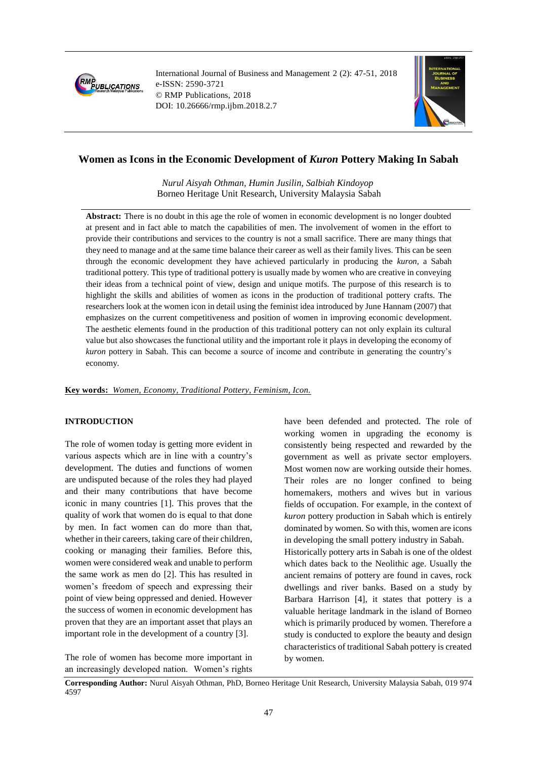

International Journal of Business and Management 2 (2): 47-51, 2018 e-ISSN: 2590-3721 © RMP Publications, 2018 DOI: 10.26666/rmp.ijbm.2018.2.7



# **Women as Icons in the Economic Development of** *Kuron* **Pottery Making In Sabah**

*Nurul Aisyah Othman, Humin Jusilin, Salbiah Kindoyop* Borneo Heritage Unit Research, University Malaysia Sabah

**Abstract:** There is no doubt in this age the role of women in economic development is no longer doubted at present and in fact able to match the capabilities of men. The involvement of women in the effort to provide their contributions and services to the country is not a small sacrifice. There are many things that they need to manage and at the same time balance their career as well as their family lives. This can be seen through the economic development they have achieved particularly in producing the *kuron,* a Sabah traditional pottery. This type of traditional pottery is usually made by women who are creative in conveying their ideas from a technical point of view, design and unique motifs. The purpose of this research is to highlight the skills and abilities of women as icons in the production of traditional pottery crafts. The researchers look at the women icon in detail using the feminist idea introduced by June Hannam (2007) that emphasizes on the current competitiveness and position of women in improving economic development. The aesthetic elements found in the production of this traditional pottery can not only explain its cultural value but also showcases the functional utility and the important role it plays in developing the economy of *kuron* pottery in Sabah. This can become a source of income and contribute in generating the country's economy.

### **Key words:** *Women, Economy, Traditional Pottery, Feminism, Icon.*

## **INTRODUCTION**

The role of women today is getting more evident in various aspects which are in line with a country's development. The duties and functions of women are undisputed because of the roles they had played and their many contributions that have become iconic in many countries [1]. This proves that the quality of work that women do is equal to that done by men. In fact women can do more than that, whether in their careers, taking care of their children, cooking or managing their families. Before this, women were considered weak and unable to perform the same work as men do [2]. This has resulted in women's freedom of speech and expressing their point of view being oppressed and denied. However the success of women in economic development has proven that they are an important asset that plays an important role in the development of a country [3].

The role of women has become more important in an increasingly developed nation. Women's rights have been defended and protected. The role of working women in upgrading the economy is consistently being respected and rewarded by the government as well as private sector employers. Most women now are working outside their homes. Their roles are no longer confined to being homemakers, mothers and wives but in various fields of occupation. For example, in the context of *kuron* pottery production in Sabah which is entirely dominated by women. So with this, women are icons in developing the small pottery industry in Sabah. Historically pottery arts in Sabah is one of the oldest which dates back to the Neolithic age. Usually the ancient remains of pottery are found in caves, rock dwellings and river banks. Based on a study by Barbara Harrison [4], it states that pottery is a valuable heritage landmark in the island of Borneo which is primarily produced by women. Therefore a study is conducted to explore the beauty and design characteristics of traditional Sabah pottery is created by women.

**Corresponding Author:** Nurul Aisyah Othman, PhD, Borneo Heritage Unit Research, University Malaysia Sabah, 019 974 4597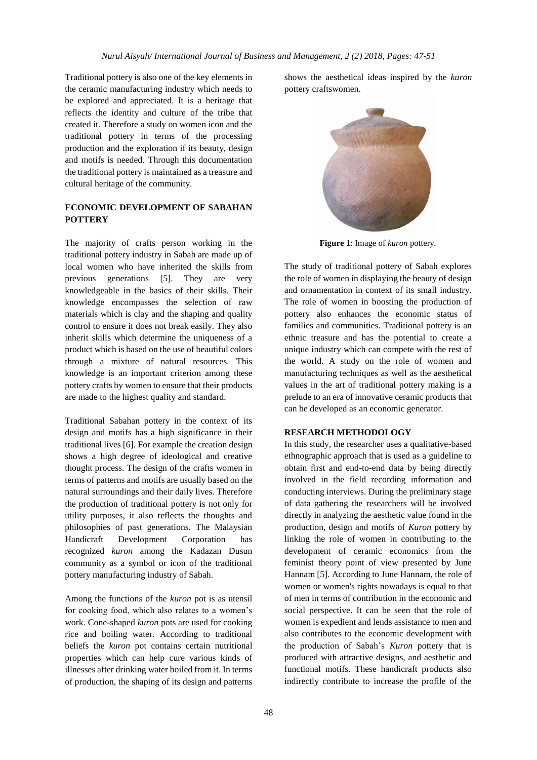Traditional pottery is also one of the key elements in the ceramic manufacturing industry which needs to be explored and appreciated. It is a heritage that reflects the identity and culture of the tribe that created it. Therefore a study on women icon and the traditional pottery in terms of the processing production and the exploration if its beauty, design and motifs is needed. Through this documentation the traditional pottery is maintained as a treasure and cultural heritage of the community.

# **ECONOMIC DEVELOPMENT OF SABAHAN POTTERY**

The majority of crafts person working in the traditional pottery industry in Sabah are made up of local women who have inherited the skills from previous generations [5]. They are very knowledgeable in the basics of their skills. Their knowledge encompasses the selection of raw materials which is clay and the shaping and quality control to ensure it does not break easily. They also inherit skills which determine the uniqueness of a product which is based on the use of beautiful colors through a mixture of natural resources. This knowledge is an important criterion among these pottery crafts by women to ensure that their products are made to the highest quality and standard.

Traditional Sabahan pottery in the context of its design and motifs has a high significance in their traditional lives [6]. For example the creation design shows a high degree of ideological and creative thought process. The design of the crafts women in terms of patterns and motifs are usually based on the natural surroundings and their daily lives. Therefore the production of traditional pottery is not only for utility purposes, it also reflects the thoughts and philosophies of past generations. The Malaysian Handicraft Development Corporation has recognized *kuron* among the Kadazan Dusun community as a symbol or icon of the traditional pottery manufacturing industry of Sabah.

Among the functions of the *kuron* pot is as utensil for cooking food, which also relates to a women's work. Cone-shaped *kuron* pots are used for cooking rice and boiling water. According to traditional beliefs the *kuron* pot contains certain nutritional properties which can help cure various kinds of illnesses after drinking water boiled from it. In terms of production, the shaping of its design and patterns

shows the aesthetical ideas inspired by the *kuron* pottery craftswomen.



**Figure 1**: Image of *kuron* pottery.

The study of traditional pottery of Sabah explores the role of women in displaying the beauty of design and ornamentation in context of its small industry. The role of women in boosting the production of pottery also enhances the economic status of families and communities. Traditional pottery is an ethnic treasure and has the potential to create a unique industry which can compete with the rest of the world. A study on the role of women and manufacturing techniques as well as the aesthetical values in the art of traditional pottery making is a prelude to an era of innovative ceramic products that can be developed as an economic generator.

### **RESEARCH METHODOLOGY**

In this study, the researcher uses a qualitative-based ethnographic approach that is used as a guideline to obtain first and end-to-end data by being directly involved in the field recording information and conducting interviews. During the preliminary stage of data gathering the researchers will be involved directly in analyzing the aesthetic value found in the production, design and motifs of *Kuron* pottery by linking the role of women in contributing to the development of ceramic economics from the feminist theory point of view presented by June Hannam [5]. According to June Hannam, the role of women or women's rights nowadays is equal to that of men in terms of contribution in the economic and social perspective. It can be seen that the role of women is expedient and lends assistance to men and also contributes to the economic development with the production of Sabah's *Kuron* pottery that is produced with attractive designs, and aesthetic and functional motifs. These handicraft products also indirectly contribute to increase the profile of the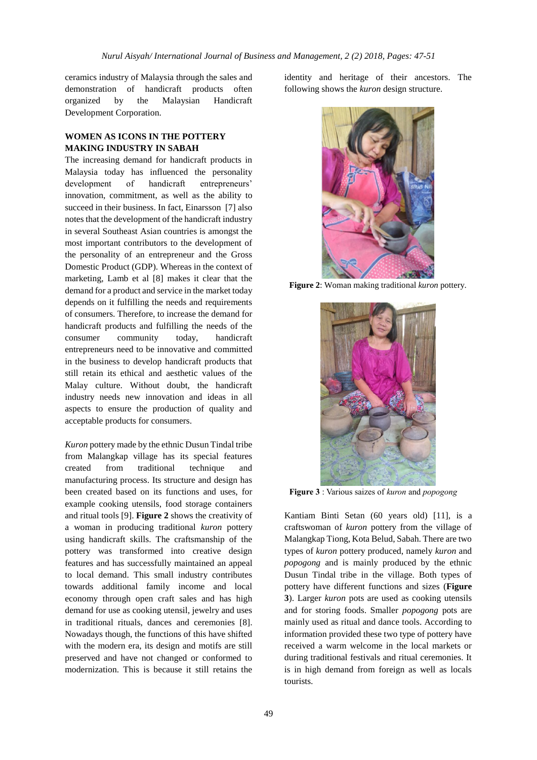ceramics industry of Malaysia through the sales and demonstration of handicraft products often organized by the Malaysian Handicraft Development Corporation.

## **WOMEN AS ICONS IN THE POTTERY MAKING INDUSTRY IN SABAH**

The increasing demand for handicraft products in Malaysia today has influenced the personality development of handicraft entrepreneurs' innovation, commitment, as well as the ability to succeed in their business. In fact, Einarsson [7] also notes that the development of the handicraft industry in several Southeast Asian countries is amongst the most important contributors to the development of the personality of an entrepreneur and the Gross Domestic Product (GDP). Whereas in the context of marketing, Lamb et al [8] makes it clear that the demand for a product and service in the market today depends on it fulfilling the needs and requirements of consumers. Therefore, to increase the demand for handicraft products and fulfilling the needs of the consumer community today, handicraft entrepreneurs need to be innovative and committed in the business to develop handicraft products that still retain its ethical and aesthetic values of the Malay culture. Without doubt, the handicraft industry needs new innovation and ideas in all aspects to ensure the production of quality and acceptable products for consumers.

*Kuron* pottery made by the ethnic Dusun Tindal tribe from Malangkap village has its special features created from traditional technique and manufacturing process. Its structure and design has been created based on its functions and uses, for example cooking utensils, food storage containers and ritual tools [9]. **Figure 2** shows the creativity of a woman in producing traditional *kuron* pottery using handicraft skills. The craftsmanship of the pottery was transformed into creative design features and has successfully maintained an appeal to local demand. This small industry contributes towards additional family income and local economy through open craft sales and has high demand for use as cooking utensil, jewelry and uses in traditional rituals, dances and ceremonies [8]. Nowadays though, the functions of this have shifted with the modern era, its design and motifs are still preserved and have not changed or conformed to modernization. This is because it still retains the

identity and heritage of their ancestors. The following shows the *kuron* design structure.



**Figure 2**: Woman making traditional *kuron* pottery.



**Figure 3** : Various saizes of *kuron* and *popogong*

Kantiam Binti Setan (60 years old) [11], is a craftswoman of *kuron* pottery from the village of Malangkap Tiong, Kota Belud, Sabah. There are two types of *kuron* pottery produced, namely *kuron* and *popogong* and is mainly produced by the ethnic Dusun Tindal tribe in the village. Both types of pottery have different functions and sizes (**Figure 3**). Larger *kuron* pots are used as cooking utensils and for storing foods. Smaller *popogong* pots are mainly used as ritual and dance tools. According to information provided these two type of pottery have received a warm welcome in the local markets or during traditional festivals and ritual ceremonies. It is in high demand from foreign as well as locals tourists.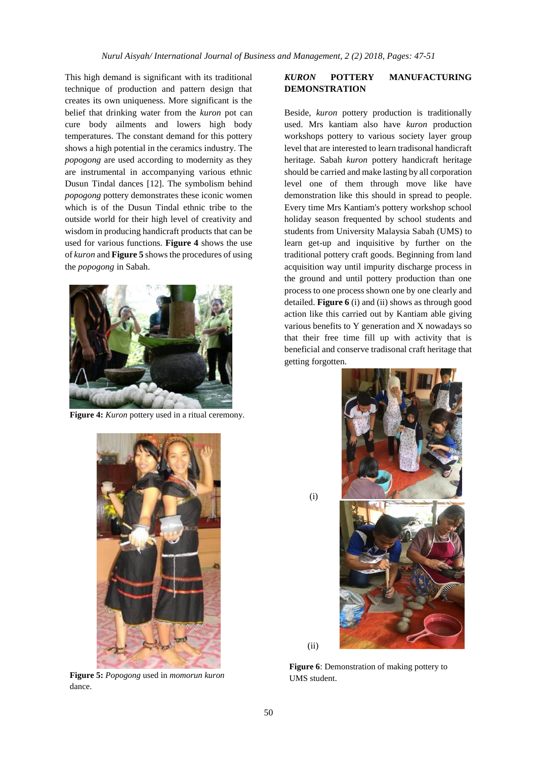This high demand is significant with its traditional technique of production and pattern design that creates its own uniqueness. More significant is the belief that drinking water from the *kuron* pot can cure body ailments and lowers high body temperatures. The constant demand for this pottery shows a high potential in the ceramics industry. The *popogong* are used according to modernity as they are instrumental in accompanying various ethnic Dusun Tindal dances [12]. The symbolism behind *popogong* pottery demonstrates these iconic women which is of the Dusun Tindal ethnic tribe to the outside world for their high level of creativity and wisdom in producing handicraft products that can be used for various functions. **Figure 4** shows the use of *kuron* and **Figure 5** shows the procedures of using the *popogong* in Sabah.



Figure 4: *Kuron* pottery used in a ritual ceremony.



Beside, *kuron* pottery production is traditionally used. Mrs kantiam also have *kuron* production workshops pottery to various society layer group level that are interested to learn tradisonal handicraft heritage. Sabah *kuron* pottery handicraft heritage should be carried and make lasting by all corporation level one of them through move like have demonstration like this should in spread to people. Every time Mrs Kantiam's pottery workshop school holiday season frequented by school students and students from University Malaysia Sabah (UMS) to learn get-up and inquisitive by further on the traditional pottery craft goods. Beginning from land acquisition way until impurity discharge process in the ground and until pottery production than one process to one process shown one by one clearly and detailed. **Figure 6** (i) and (ii) shows as through good action like this carried out by Kantiam able giving various benefits to Y generation and X nowadays so that their free time fill up with activity that is beneficial and conserve tradisonal craft heritage that getting forgotten.





(i)

(ii)



**Figure 5:** *Popogong* used in *momorun kuron* dance.